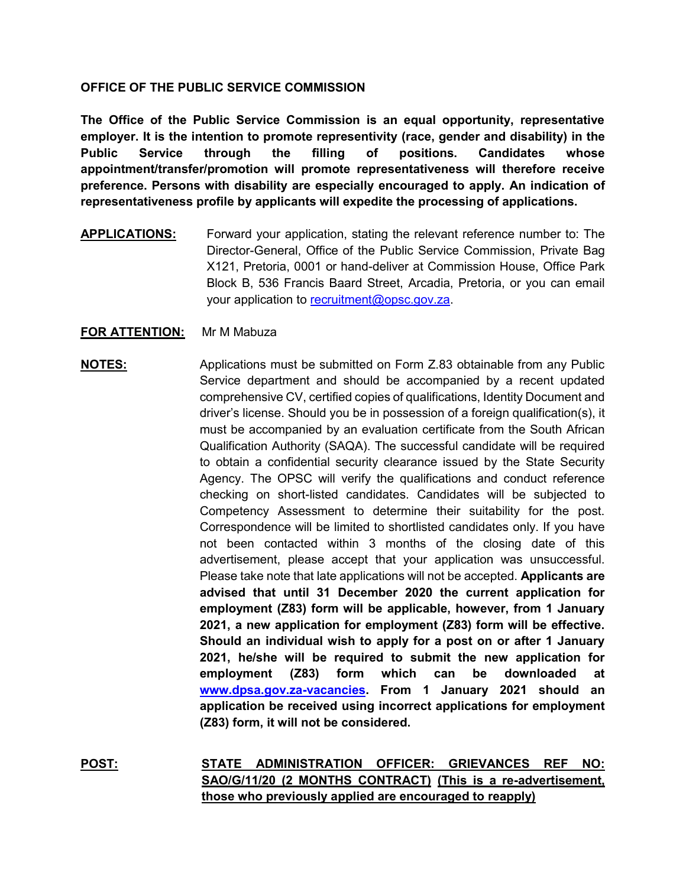## **OFFICE OF THE PUBLIC SERVICE COMMISSION**

**The Office of the Public Service Commission is an equal opportunity, representative employer. It is the intention to promote representivity (race, gender and disability) in the Public Service through the filling of positions. Candidates whose appointment/transfer/promotion will promote representativeness will therefore receive preference. Persons with disability are especially encouraged to apply. An indication of representativeness profile by applicants will expedite the processing of applications.**

**APPLICATIONS:** Forward your application, stating the relevant reference number to: The Director-General, Office of the Public Service Commission, Private Bag X121, Pretoria, 0001 or hand-deliver at Commission House, Office Park Block B, 536 Francis Baard Street, Arcadia, Pretoria, or you can email your application to [recruitment@opsc.gov.za.](mailto:recruitment@opsc.gov.za)

## **FOR ATTENTION:** Mr M Mabuza

# **NOTES:** Applications must be submitted on Form Z.83 obtainable from any Public Service department and should be accompanied by a recent updated comprehensive CV, certified copies of qualifications, Identity Document and driver's license. Should you be in possession of a foreign qualification(s), it must be accompanied by an evaluation certificate from the South African Qualification Authority (SAQA). The successful candidate will be required to obtain a confidential security clearance issued by the State Security Agency. The OPSC will verify the qualifications and conduct reference checking on short-listed candidates. Candidates will be subjected to Competency Assessment to determine their suitability for the post. Correspondence will be limited to shortlisted candidates only. If you have not been contacted within 3 months of the closing date of this advertisement, please accept that your application was unsuccessful. Please take note that late applications will not be accepted. **Applicants are advised that until 31 December 2020 the current application for employment (Z83) form will be applicable, however, from 1 January 2021, a new application for employment (Z83) form will be effective. Should an individual wish to apply for a post on or after 1 January 2021, he/she will be required to submit the new application for employment (Z83) form which can be downloaded at [www.dpsa.gov.za-vacancies.](http://www.dpsa.gov.za-vacancies/) From 1 January 2021 should an application be received using incorrect applications for employment (Z83) form, it will not be considered.**

**POST: STATE ADMINISTRATION OFFICER: GRIEVANCES REF NO: SAO/G/11/20 (2 MONTHS CONTRACT) (This is a re-advertisement, those who previously applied are encouraged to reapply)**